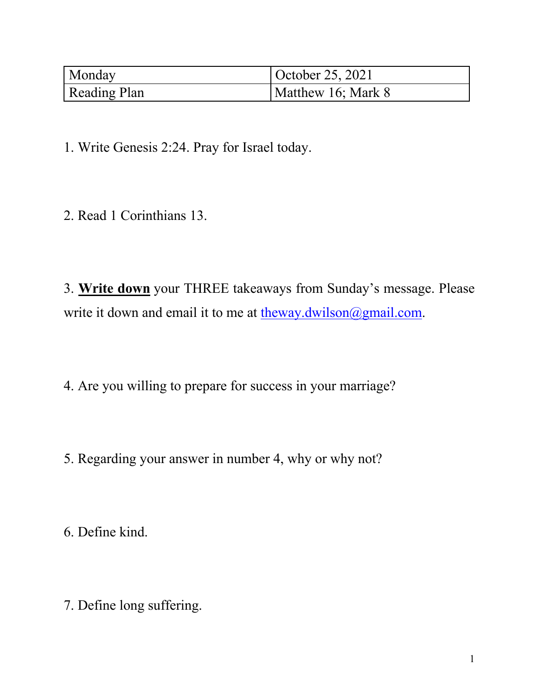| Monday              | October 25, 2021   |
|---------------------|--------------------|
| <b>Reading Plan</b> | Matthew 16; Mark 8 |

2. Read 1 Corinthians 13.

3. **Write down** your THREE takeaways from Sunday's message. Please write it down and email it to me at  $\underline{theway.dwilson}(\partial \text{gmail.com})$ .

4. Are you willing to prepare for success in your marriage?

5. Regarding your answer in number 4, why or why not?

6. Define kind.

7. Define long suffering.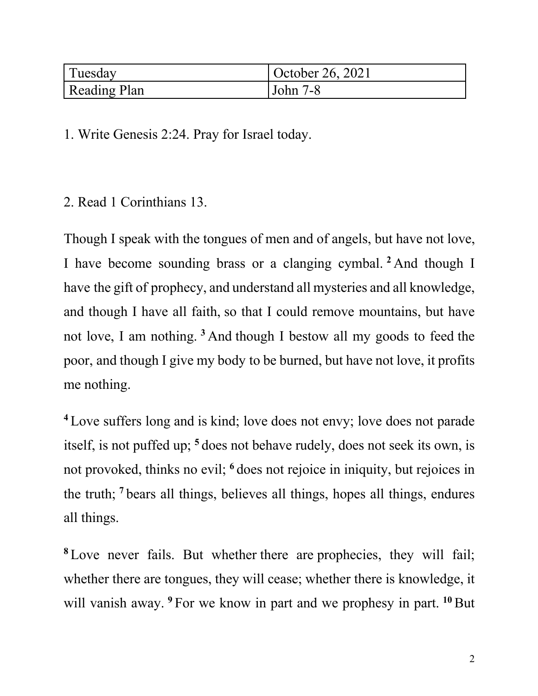| Tuesday      | October 26, 2021 |
|--------------|------------------|
| Reading Plan | John 7-8         |

2. Read 1 Corinthians 13.

Though I speak with the tongues of men and of angels, but have not love, I have become sounding brass or a clanging cymbal. **<sup>2</sup>** And though I have the gift of prophecy, and understand all mysteries and all knowledge, and though I have all faith, so that I could remove mountains, but have not love, I am nothing. **<sup>3</sup>** And though I bestow all my goods to feed the poor, and though I give my body to be burned, but have not love, it profits me nothing.

**<sup>4</sup>** Love suffers long and is kind; love does not envy; love does not parade itself, is not puffed up; **<sup>5</sup>** does not behave rudely, does not seek its own, is not provoked, thinks no evil; **<sup>6</sup>** does not rejoice in iniquity, but rejoices in the truth; **<sup>7</sup>** bears all things, believes all things, hopes all things, endures all things.

**<sup>8</sup>** Love never fails. But whether there are prophecies, they will fail; whether there are tongues, they will cease; whether there is knowledge, it will vanish away. <sup>9</sup> For we know in part and we prophesy in part. <sup>10</sup> But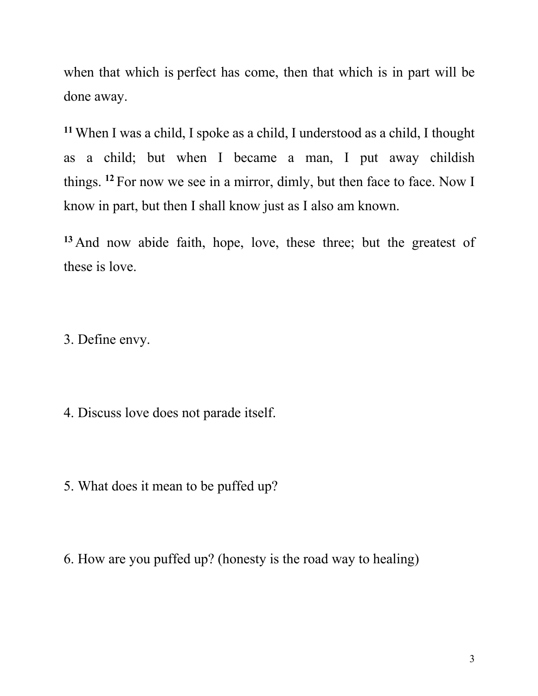when that which is perfect has come, then that which is in part will be done away.

**<sup>11</sup>** When I was a child, I spoke as a child, I understood as a child, I thought as a child; but when I became a man, I put away childish things. **<sup>12</sup>** For now we see in a mirror, dimly, but then face to face. Now I know in part, but then I shall know just as I also am known.

**<sup>13</sup>** And now abide faith, hope, love, these three; but the greatest of these is love.

3. Define envy.

4. Discuss love does not parade itself.

5. What does it mean to be puffed up?

6. How are you puffed up? (honesty is the road way to healing)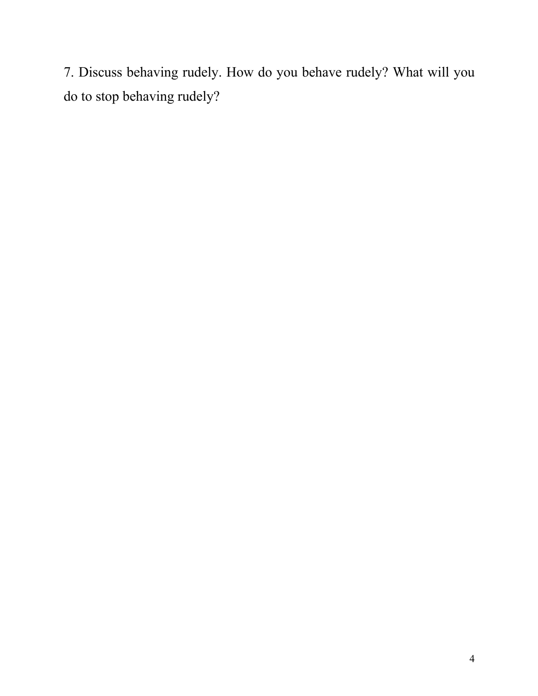7. Discuss behaving rudely. How do you behave rudely? What will you do to stop behaving rudely?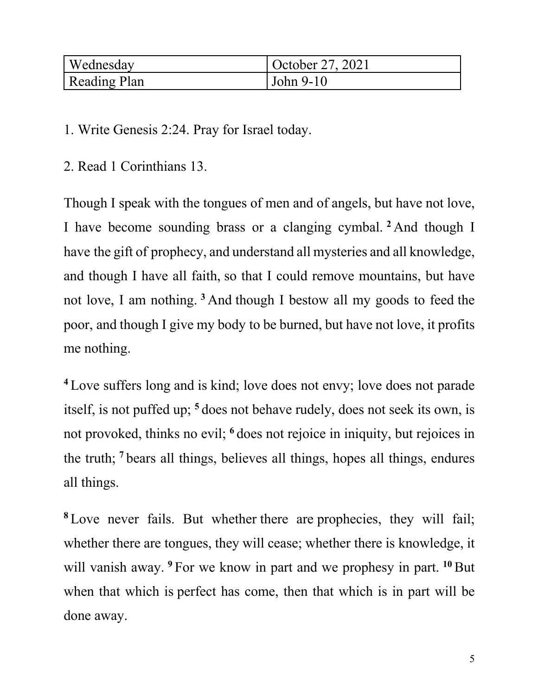| Wednesday    | October 27, 2021 |
|--------------|------------------|
| Reading Plan | John 9-10        |

2. Read 1 Corinthians 13.

Though I speak with the tongues of men and of angels, but have not love, I have become sounding brass or a clanging cymbal. **<sup>2</sup>** And though I have the gift of prophecy, and understand all mysteries and all knowledge, and though I have all faith, so that I could remove mountains, but have not love, I am nothing. **<sup>3</sup>** And though I bestow all my goods to feed the poor, and though I give my body to be burned, but have not love, it profits me nothing.

**<sup>4</sup>** Love suffers long and is kind; love does not envy; love does not parade itself, is not puffed up; **<sup>5</sup>** does not behave rudely, does not seek its own, is not provoked, thinks no evil; **<sup>6</sup>** does not rejoice in iniquity, but rejoices in the truth; **<sup>7</sup>** bears all things, believes all things, hopes all things, endures all things.

**<sup>8</sup>** Love never fails. But whether there are prophecies, they will fail; whether there are tongues, they will cease; whether there is knowledge, it will vanish away. <sup>9</sup> For we know in part and we prophesy in part. <sup>10</sup> But when that which is perfect has come, then that which is in part will be done away.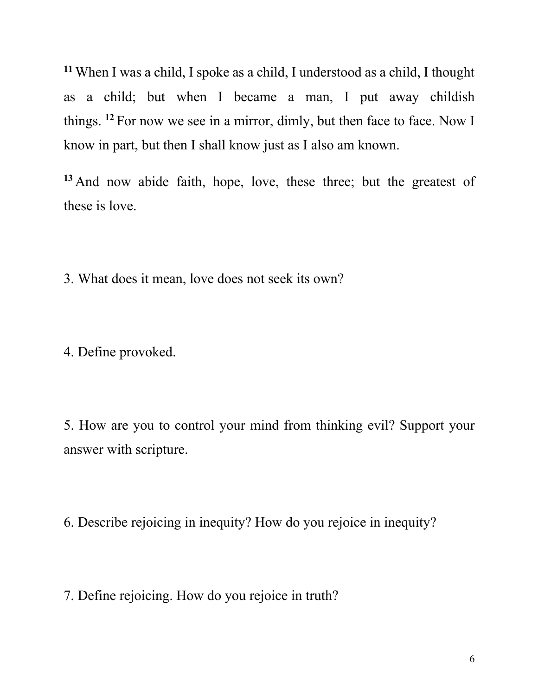**<sup>11</sup>** When I was a child, I spoke as a child, I understood as a child, I thought as a child; but when I became a man, I put away childish things. **<sup>12</sup>** For now we see in a mirror, dimly, but then face to face. Now I know in part, but then I shall know just as I also am known.

**<sup>13</sup>** And now abide faith, hope, love, these three; but the greatest of these is love.

3. What does it mean, love does not seek its own?

4. Define provoked.

5. How are you to control your mind from thinking evil? Support your answer with scripture.

6. Describe rejoicing in inequity? How do you rejoice in inequity?

7. Define rejoicing. How do you rejoice in truth?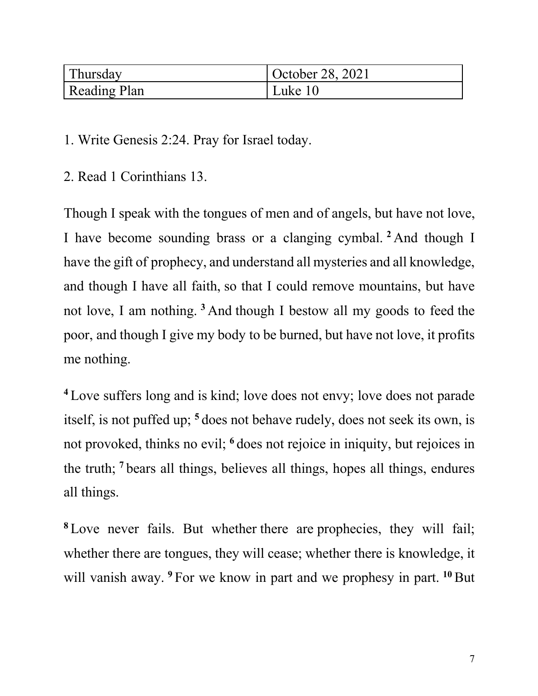| Thursday            | October 28, 2021 |
|---------------------|------------------|
| <b>Reading Plan</b> | Luke 10          |

2. Read 1 Corinthians 13.

Though I speak with the tongues of men and of angels, but have not love, I have become sounding brass or a clanging cymbal. **<sup>2</sup>** And though I have the gift of prophecy, and understand all mysteries and all knowledge, and though I have all faith, so that I could remove mountains, but have not love, I am nothing. **<sup>3</sup>** And though I bestow all my goods to feed the poor, and though I give my body to be burned, but have not love, it profits me nothing.

**<sup>4</sup>** Love suffers long and is kind; love does not envy; love does not parade itself, is not puffed up; **<sup>5</sup>** does not behave rudely, does not seek its own, is not provoked, thinks no evil; **<sup>6</sup>** does not rejoice in iniquity, but rejoices in the truth; **<sup>7</sup>** bears all things, believes all things, hopes all things, endures all things.

**<sup>8</sup>** Love never fails. But whether there are prophecies, they will fail; whether there are tongues, they will cease; whether there is knowledge, it will vanish away. <sup>9</sup> For we know in part and we prophesy in part. <sup>10</sup> But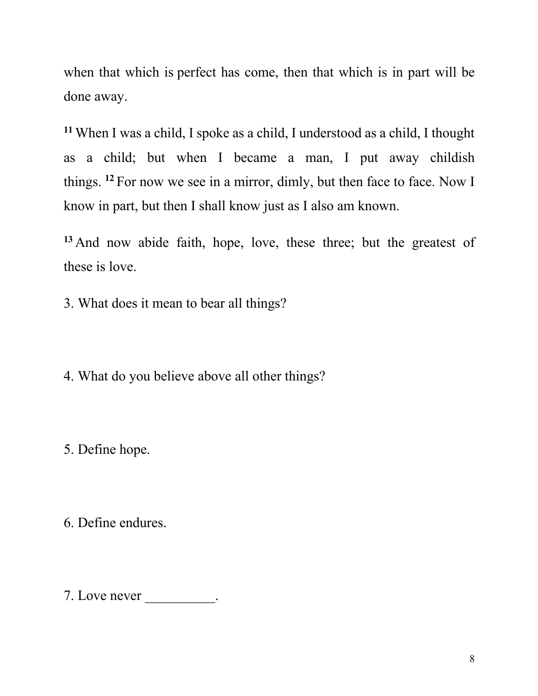when that which is perfect has come, then that which is in part will be done away.

**<sup>11</sup>** When I was a child, I spoke as a child, I understood as a child, I thought as a child; but when I became a man, I put away childish things. **<sup>12</sup>** For now we see in a mirror, dimly, but then face to face. Now I know in part, but then I shall know just as I also am known.

**<sup>13</sup>** And now abide faith, hope, love, these three; but the greatest of these is love.

3. What does it mean to bear all things?

4. What do you believe above all other things?

5. Define hope.

6. Define endures.

7. Love never  $\_\_\_\_\_\_\_\_\_\_\_\_\_\_$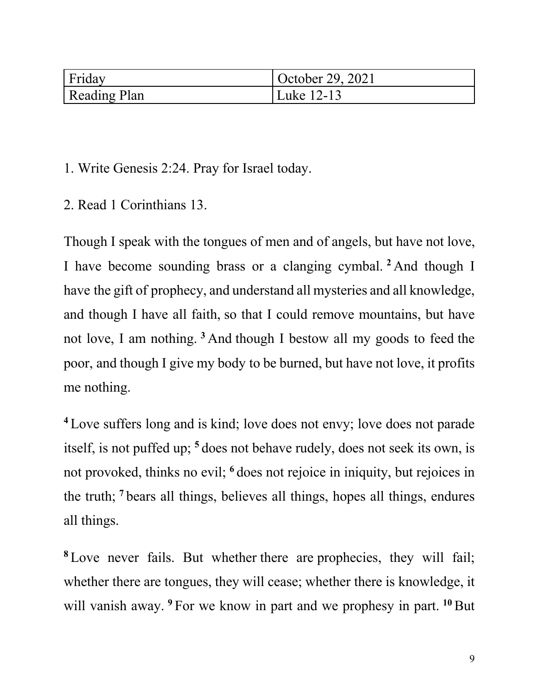| Friday              | October 29, 2021 |
|---------------------|------------------|
| <b>Reading Plan</b> | Luke 12-13       |

2. Read 1 Corinthians 13.

Though I speak with the tongues of men and of angels, but have not love, I have become sounding brass or a clanging cymbal. **<sup>2</sup>** And though I have the gift of prophecy, and understand all mysteries and all knowledge, and though I have all faith, so that I could remove mountains, but have not love, I am nothing. **<sup>3</sup>** And though I bestow all my goods to feed the poor, and though I give my body to be burned, but have not love, it profits me nothing.

**<sup>4</sup>** Love suffers long and is kind; love does not envy; love does not parade itself, is not puffed up; **<sup>5</sup>** does not behave rudely, does not seek its own, is not provoked, thinks no evil; **<sup>6</sup>** does not rejoice in iniquity, but rejoices in the truth; **<sup>7</sup>** bears all things, believes all things, hopes all things, endures all things.

**<sup>8</sup>** Love never fails. But whether there are prophecies, they will fail; whether there are tongues, they will cease; whether there is knowledge, it will vanish away. <sup>9</sup> For we know in part and we prophesy in part. <sup>10</sup> But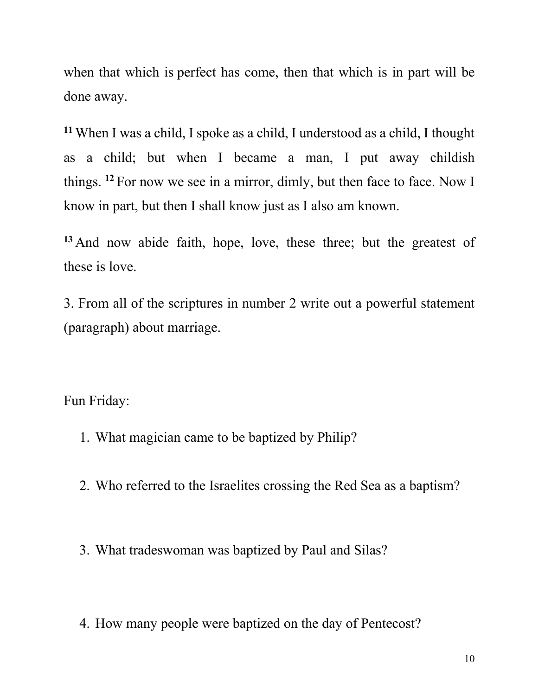when that which is perfect has come, then that which is in part will be done away.

**<sup>11</sup>** When I was a child, I spoke as a child, I understood as a child, I thought as a child; but when I became a man, I put away childish things. **<sup>12</sup>** For now we see in a mirror, dimly, but then face to face. Now I know in part, but then I shall know just as I also am known.

**<sup>13</sup>** And now abide faith, hope, love, these three; but the greatest of these is love.

3. From all of the scriptures in number 2 write out a powerful statement (paragraph) about marriage.

Fun Friday:

- 1. What magician came to be baptized by Philip?
- 2. Who referred to the Israelites crossing the Red Sea as a baptism?
- 3. What tradeswoman was baptized by Paul and Silas?
- 4. How many people were baptized on the day of Pentecost?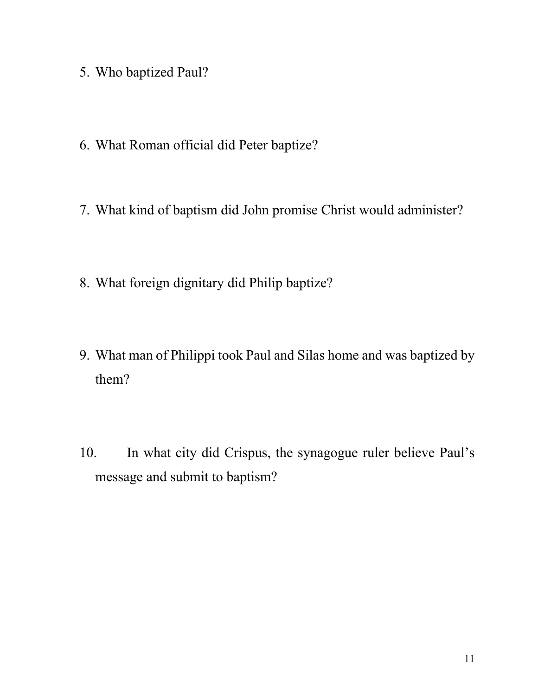- 5. Who baptized Paul?
- 6. What Roman official did Peter baptize?
- 7. What kind of baptism did John promise Christ would administer?
- 8. What foreign dignitary did Philip baptize?
- 9. What man of Philippi took Paul and Silas home and was baptized by them?
- 10. In what city did Crispus, the synagogue ruler believe Paul's message and submit to baptism?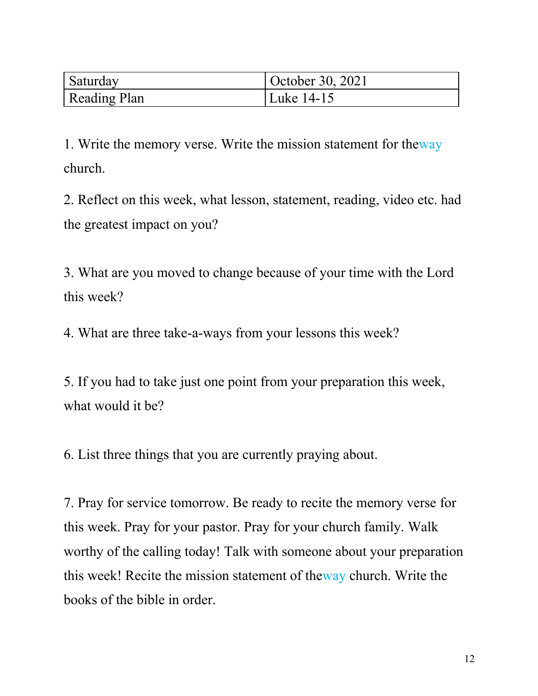| <b>Saturday</b> | October 30, 2021 |
|-----------------|------------------|
| Reading Plan    | Luke 14-15       |

1. Write the memory verse. Write the mission statement for theway church.

2. Reflect on this week, what lesson, statement, reading, video etc. had the greatest impact on you?

3. What are you moved to change because of your time with the Lord this week?

4. What are three take-a-ways from your lessons this week?

5. If you had to take just one point from your preparation this week, what would it be?

6. List three things that you are currently praying about.

7. Pray for service tomorrow. Be ready to recite the memory verse for this week. Pray for your pastor. Pray for your church family. Walk worthy of the calling today! Talk with someone about your preparation this week! Recite the mission statement of theway church. Write the books of the bible in order.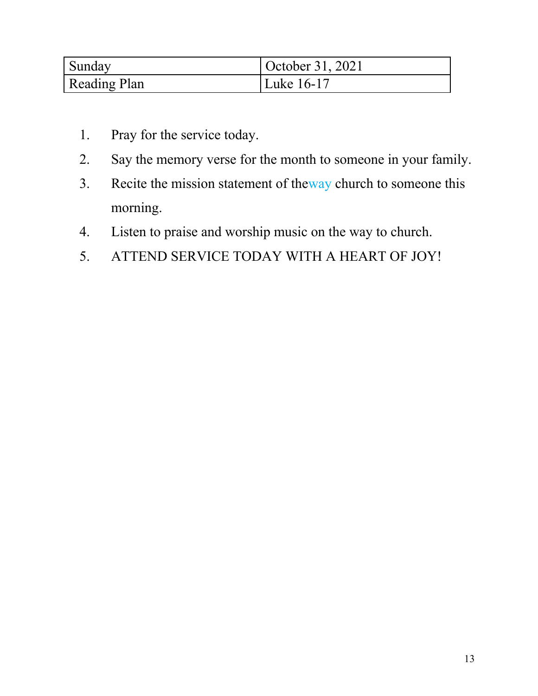| Sunday       | October 31, 2021 |
|--------------|------------------|
| Reading Plan | Luke 16-17       |

- 1. Pray for the service today.
- 2. Say the memory verse for the month to someone in your family.
- 3. Recite the mission statement of theway church to someone this morning.
- 4. Listen to praise and worship music on the way to church.
- 5. ATTEND SERVICE TODAY WITH A HEART OF JOY!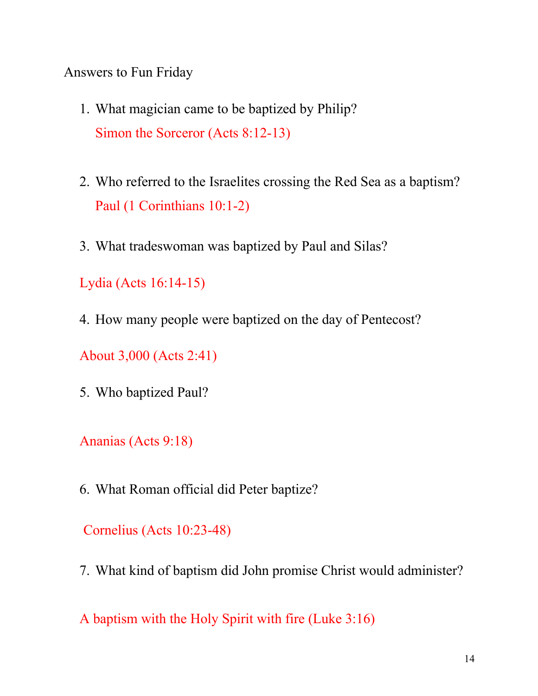Answers to Fun Friday

- 1. What magician came to be baptized by Philip? Simon the Sorceror (Acts 8:12-13)
- 2. Who referred to the Israelites crossing the Red Sea as a baptism? Paul (1 Corinthians 10:1-2)
- 3. What tradeswoman was baptized by Paul and Silas?

Lydia (Acts 16:14-15)

4. How many people were baptized on the day of Pentecost?

About 3,000 (Acts 2:41)

5. Who baptized Paul?

Ananias (Acts 9:18)

6. What Roman official did Peter baptize?

Cornelius (Acts 10:23-48)

7. What kind of baptism did John promise Christ would administer?

A baptism with the Holy Spirit with fire (Luke 3:16)